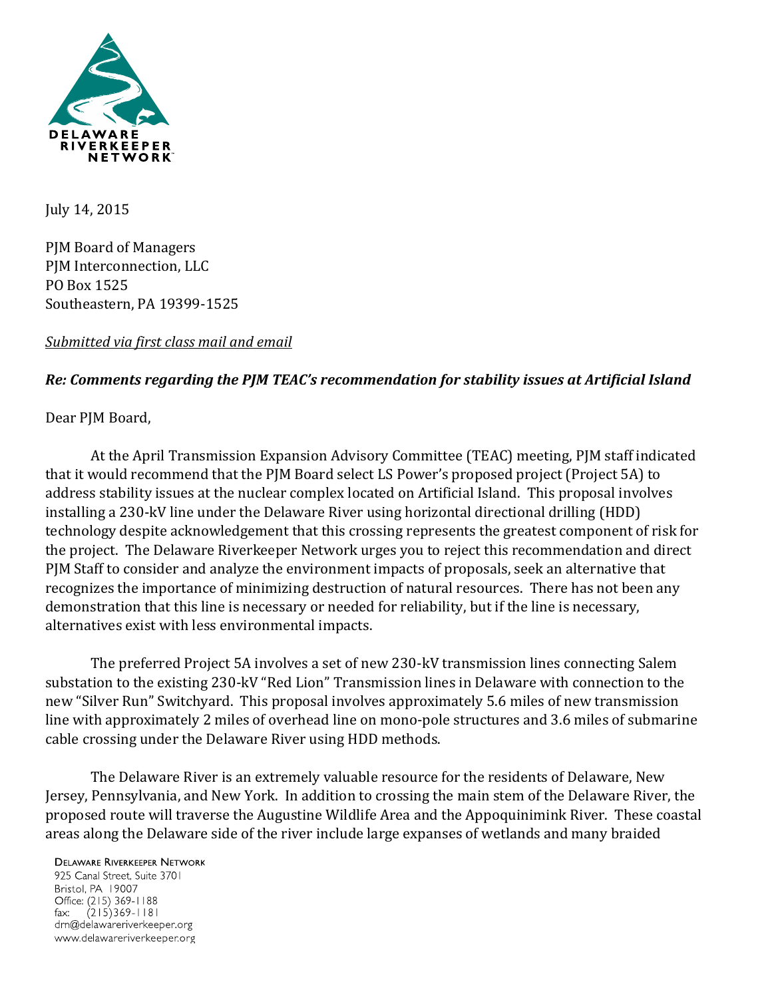

July 14, 2015

PJM Board of Managers PJM Interconnection, LLC PO Box 1525 Southeastern, PA 19399-1525

## *Submitted via first class mail and email*

## *Re: Comments regarding the PJM TEAC's recommendation for stability issues at Artificial Island*

Dear PJM Board,

At the April Transmission Expansion Advisory Committee (TEAC) meeting, PJM staff indicated that it would recommend that the PJM Board select LS Power's proposed project (Project 5A) to address stability issues at the nuclear complex located on Artificial Island. This proposal involves installing a 230-kV line under the Delaware River using horizontal directional drilling (HDD) technology despite acknowledgement that this crossing represents the greatest component of risk for the project. The Delaware Riverkeeper Network urges you to reject this recommendation and direct PJM Staff to consider and analyze the environment impacts of proposals, seek an alternative that recognizes the importance of minimizing destruction of natural resources. There has not been any demonstration that this line is necessary or needed for reliability, but if the line is necessary, alternatives exist with less environmental impacts.

The preferred Project 5A involves a set of new 230-kV transmission lines connecting Salem substation to the existing 230-kV "Red Lion" Transmission lines in Delaware with connection to the new "Silver Run" Switchyard. This proposal involves approximately 5.6 miles of new transmission line with approximately 2 miles of overhead line on mono-pole structures and 3.6 miles of submarine cable crossing under the Delaware River using HDD methods.

The Delaware River is an extremely valuable resource for the residents of Delaware, New Jersey, Pennsylvania, and New York. In addition to crossing the main stem of the Delaware River, the proposed route will traverse the Augustine Wildlife Area and the Appoquinimink River. These coastal areas along the Delaware side of the river include large expanses of wetlands and many braided

## **DELAWARE RIVERKEEPER NETWORK**

925 Canal Street, Suite 3701 Bristol, PA 19007 Office: (215) 369-1188 fax:  $(215)369 - 1181$ drn@delawareriverkeeper.org www.delawareriverkeeper.org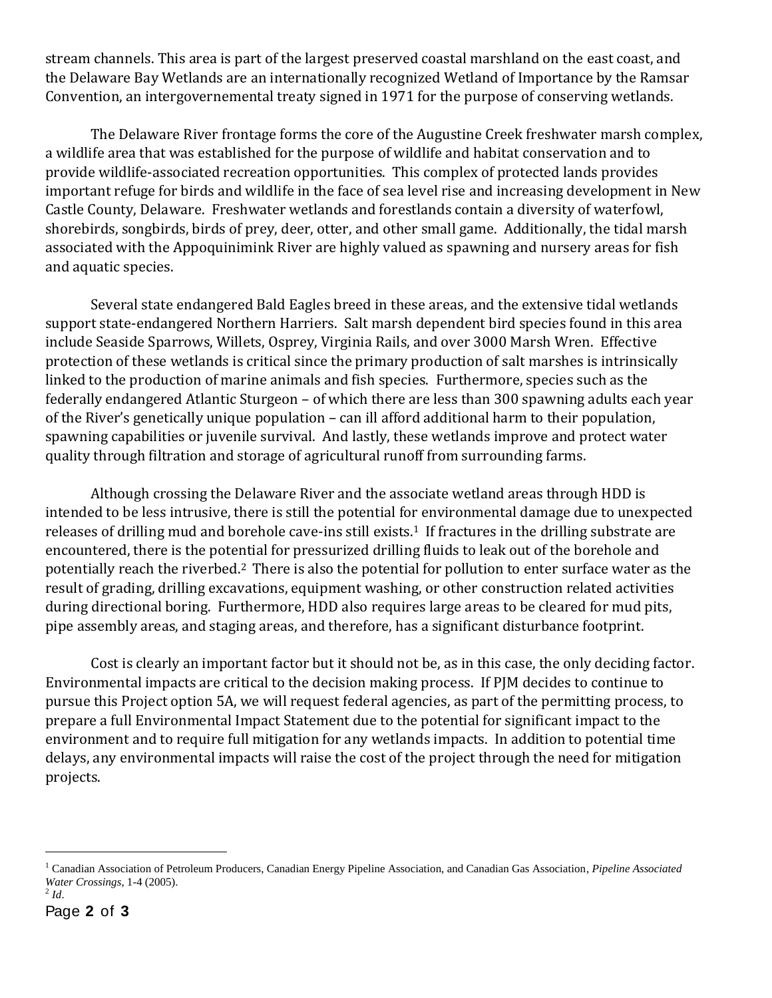stream channels. This area is part of the largest preserved coastal marshland on the east coast, and the Delaware Bay Wetlands are an internationally recognized Wetland of Importance by the Ramsar Convention, an intergovernemental treaty signed in 1971 for the purpose of conserving wetlands.

The Delaware River frontage forms the core of the Augustine Creek freshwater marsh complex, a wildlife area that was established for the purpose of wildlife and habitat conservation and to provide wildlife-associated recreation opportunities. This complex of protected lands provides important refuge for birds and wildlife in the face of sea level rise and increasing development in New Castle County, Delaware. Freshwater wetlands and forestlands contain a diversity of waterfowl, shorebirds, songbirds, birds of prey, deer, otter, and other small game. Additionally, the tidal marsh associated with the Appoquinimink River are highly valued as spawning and nursery areas for fish and aquatic species.

Several state endangered Bald Eagles breed in these areas, and the extensive tidal wetlands support state-endangered Northern Harriers. Salt marsh dependent bird species found in this area include Seaside Sparrows, Willets, Osprey, Virginia Rails, and over 3000 Marsh Wren. Effective protection of these wetlands is critical since the primary production of salt marshes is intrinsically linked to the production of marine animals and fish species. Furthermore, species such as the federally endangered Atlantic Sturgeon – of which there are less than 300 spawning adults each year of the River's genetically unique population – can ill afford additional harm to their population, spawning capabilities or juvenile survival. And lastly, these wetlands improve and protect water quality through filtration and storage of agricultural runoff from surrounding farms.

Although crossing the Delaware River and the associate wetland areas through HDD is intended to be less intrusive, there is still the potential for environmental damage due to unexpected releases of drilling mud and borehole cave-ins still exists.<sup>1</sup> If fractures in the drilling substrate are encountered, there is the potential for pressurized drilling fluids to leak out of the borehole and potentially reach the riverbed.<sup>2</sup> There is also the potential for pollution to enter surface water as the result of grading, drilling excavations, equipment washing, or other construction related activities during directional boring. Furthermore, HDD also requires large areas to be cleared for mud pits, pipe assembly areas, and staging areas, and therefore, has a significant disturbance footprint.

Cost is clearly an important factor but it should not be, as in this case, the only deciding factor. Environmental impacts are critical to the decision making process. If PJM decides to continue to pursue this Project option 5A, we will request federal agencies, as part of the permitting process, to prepare a full Environmental Impact Statement due to the potential for significant impact to the environment and to require full mitigation for any wetlands impacts. In addition to potential time delays, any environmental impacts will raise the cost of the project through the need for mitigation projects.

 $\overline{a}$ 

<sup>1</sup> Canadian Association of Petroleum Producers, Canadian Energy Pipeline Association, and Canadian Gas Association, *Pipeline Associated Water Crossings*, 1-4 (2005).